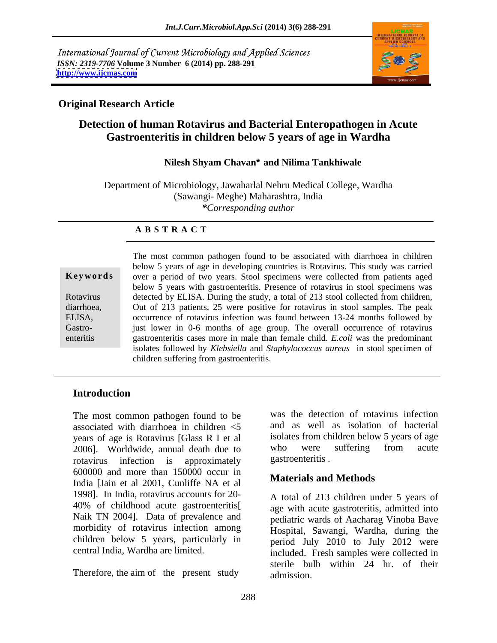International Journal of Current Microbiology and Applied Sciences *ISSN: 2319-7706* **Volume 3 Number 6 (2014) pp. 288-291 <http://www.ijcmas.com>**



## **Original Research Article**

# **Detection of human Rotavirus and Bacterial Enteropathogen in Acute Gastroenteritis in children below 5 years of age in Wardha**

### **Nilesh Shyam Chavan\* and Nilima Tankhiwale**

Department of Microbiology, Jawaharlal Nehru Medical College, Wardha (Sawangi- Meghe) Maharashtra, India *\*Corresponding author*

### **A B S T R A C T**

**Ke ywo rds** over a period of two years. Stool specimens were collected from patients aged Rotavirus detected by ELISA. During the study, a total of 213 stool collected from children, diarrhoea, Out of 213 patients, 25 were positive for rotavirus in stool samples. The peak ELISA, occurrence of rotavirus infection was found between 13-24 months followed by Gastro- **just lower in 0-6 months of age group.** The overall occurrence of rotavirus enteritis gastroenteritis cases more in male than female child. *E.coli* was the predominant The most common pathogen found to be associated with diarrhoea in children below 5 years of age in developing countries is Rotavirus. This study was carried below 5 years with gastroenteritis. Presence of rotavirus in stool specimens was isolates followed by *Klebsiella* and *Staphylococcus aureus* in stool specimen of children suffering from gastroenteritis.

### **Introduction**

The most common pathogen found to be associated with diarrhoea in children <5 years of age is Rotavirus [Glass R I et al isolates from children below 5 years of age<br>2006] Worldwide annual death due to who were suffering from acute 2006]. Worldwide, annual death due to rotavirus infection is approximately 600000 and more than 150000 occur in India [Jain et al 2001, Cunliffe NA et al 1998]. In India, rotavirus accounts for 20 morbidity of rotavirus infection among children below 5 years, particularly in central India. Wardha are limited.

Therefore, the aim of the present study admission

was the detection of rotavirus infection and as well as isolation of bacterial isolates from children below 5 years of age who were suffering from acute gastroenteritis .

# **Materials and Methods**

40% of childhood acute gastroenteritis[ age with acute gastroteritis, admitted into<br>Naik TN 2004]. Data of prevalence and pediatric wards of Aacharag Vinoba Baye central India, Wardha are limited. included. Fresh samples were collected in A total of 213 children under 5 years of age with acute gastroteritis, admitted into pediatric wards of Aacharag Vinoba Bave Hospital, Sawangi, Wardha, during the period July 2010 to July 2012 were sterile bulb within 24 hr. of their admission.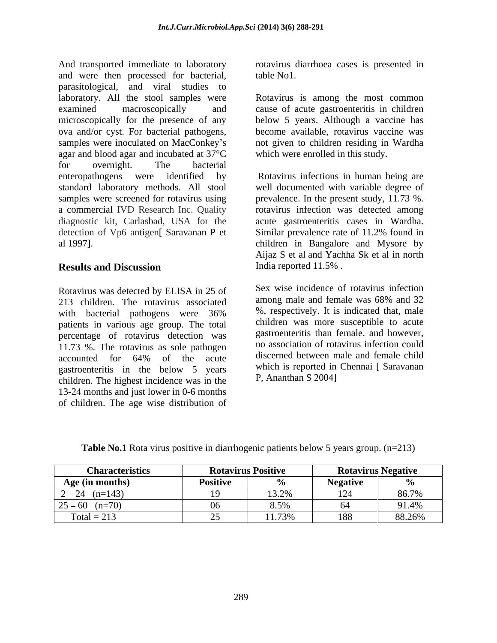And transported immediate to laboratory rotavirus diarrhoea cases is presented in and were then processed for bacterial, table No1. parasitological, and viral studies to laboratory. All the stool samples were Rotavirus is among the most common examined macroscopically and cause of acute gastroenteritis in children microscopically for the presence of any ova and/or cyst. For bacterial pathogens, become available, rotavirus vaccine was samples were inoculated on MacConkey's not given to children residing in Wardha agar and blood agar and incubated at 37°C for overnight. The bacterial enteropathogens were identified by Rotavirus infections in human being are standard laboratory methods. All stool well documented with variable degree of samples were screened for rotavirus using prevalence. In the present study, 11.73 %. a commercial IVD Research Inc. Quality rotavirus infection was detected among diagnostic kit, Carlasbad, USA for the acute gastroenteritis cases in Wardha. detection of Vp6 antigen Saravanan P et Similar prevalence rate of 11.2% found in

Rotavirus was detected by ELISA in 25 of Sex wise incidence of rotavirus infection<br>213 objective associated among male and female was 68% and 32 213 children. The rotavirus associated with bacterial pathogens were 36% patients in various age group. The total percentage of rotavirus detection was 11.73 %. The rotavirus as sole pathogen accounted for 64% of the acute discerned between male and female child gastroenteritis in the below 5 years children. The highest incidence was in the 13-24 months and just lower in 0-6 months of children. The age wise distribution of

table No1.

below 5 years. Although a vaccine has become available, rotavirus vaccine was not given to children residing in Wardha which were enrolled in this study.

al 1997]. children in Bangalore and Mysore by **Results and Discussion Example 3** India reported 11.5%. Similar prevalence rate of 11.2% found in Aijaz S et al and Yachha Sk et al in north India reported 11.5% .

> Sex wise incidence of rotavirus infection among male and female was 68% and 32 %, respectively. It is indicated that, male children was more susceptible to acute gastroenteritis than female. and however, no association of rotavirus infection could discerned between male and female child which is reported in Chennai [ Saravanan P, Ananthan S 2004]

| 212<br>Table No.1 Rota<br>$\mathbf{r}$ $\mathbf{r}$ $\mathbf{r}$ $\mathbf{r}$ $\mathbf{r}$ $\mathbf{r}$ $\mathbf{r}$ $\mathbf{r}$ $\mathbf{r}$<br>, vears grour<br>. patients be'<br>. (n=)<br>10W<br>-positive<br>↑ V1ru.<br>e in diarrhogenic pa<br>- - - |  |
|-------------------------------------------------------------------------------------------------------------------------------------------------------------------------------------------------------------------------------------------------------------|--|
|-------------------------------------------------------------------------------------------------------------------------------------------------------------------------------------------------------------------------------------------------------------|--|

| <b>Characteristics</b>                           |                 | <b>Rotavirus Positive</b> | <b>Rotavirus Negative</b> |        |
|--------------------------------------------------|-----------------|---------------------------|---------------------------|--------|
| Age (in months)                                  | Positive        |                           | <b>Negativ</b>            |        |
| $\begin{bmatrix} 2 - 24 & (n=143) \end{bmatrix}$ | $\overline{10}$ | 13.2%                     |                           | 86.7%  |
| $25 - 60$ (n=70)                                 |                 | $8.5\%$                   |                           | 91.4%  |
| Total = $213$                                    |                 | 11.73%                    | 188                       | 88.26% |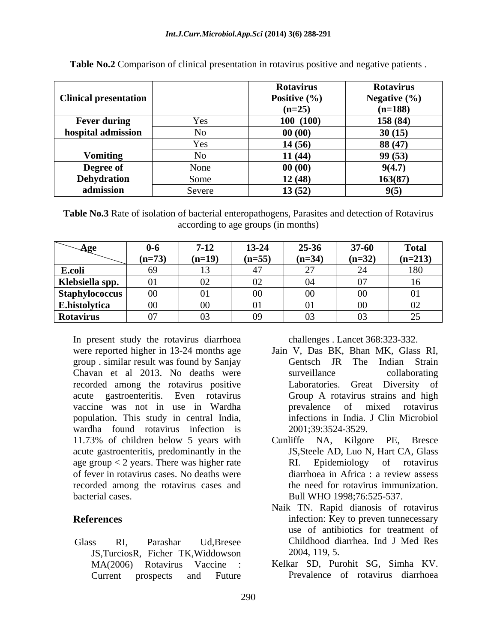| <b>Clinical presentation</b> |                | <b>Rotavirus</b><br>Positive $(\% )$<br>$(n=25)$ | <b>Rotavirus</b><br>Negative $(\% )$<br>$(n=188)$ |
|------------------------------|----------------|--------------------------------------------------|---------------------------------------------------|
| <b>Fever during</b>          | Yes            | 100(100)                                         | 158 (84)                                          |
| hospital admission           | N <sub>o</sub> | 00(00)                                           | 30(15)                                            |
|                              | Yes            | 14(56)                                           | 88(47)                                            |
| <b>Vomiting</b>              | No             | 11(44)                                           | 99(53)                                            |
| <b>Degree of</b>             | None           | 00(00)                                           | 9(4.7)                                            |
| <b>Dehydration</b>           | Some           | 12(48)                                           | 163(87)                                           |
| admission                    | Severe         | 13(52)                                           | 9(5)                                              |

**Table No.2** Comparison of clinical presentation in rotavirus positive and negative patients .

**Table No.3** Rate of isolation of bacterial enteropathogens, Parasites and detection of Rotavirus according to age groups (in months)

| $\bf{A}$ ge           | v-v                     | $7 - 12$    | 13-24                    | 25-36    | $37 - 60$      | <b>Total</b>                       |
|-----------------------|-------------------------|-------------|--------------------------|----------|----------------|------------------------------------|
|                       | $(n=73)$                | $n=19$      | $(n-55)$<br>$\mathbf{u}$ | $(n=34)$ | $(n=32)$       | $(n=213)$                          |
| E.coli                | $\epsilon$ <sup>0</sup> |             |                          |          |                | 180                                |
| Klebsiella spp.       |                         | $\cup$      | - 02                     |          |                | 16                                 |
| <b>Staphylococcus</b> | $\sim$ $\sim$<br>VV.    |             | $\Omega$                 |          | $\Omega$<br>vv | $^{\prime}$                        |
| E.histolytica         |                         | VV          |                          | 01       | $00\,$         | $\Omega$<br>$\mathsf{v}\mathsf{v}$ |
| Rotavirus             |                         | $\check{ }$ | $^{09}$                  | 03.      | $\Omega$<br>U3 | $\sim$<br>$\overline{\phantom{a}}$ |

In present study the rotavirus diarrhoea were reported higher in 13-24 months age group . similar result was found by Sanjay Chavan et al 2013. No deaths were recorded among the rotavirus positive acute gastroenteritis. Even rotavirus Group A rotavirus strains and high vaccine was not in use in Wardha population. This study in central India, wardha found rotavirus infection is 11.73% of children below 5 years with Cunliffe NA, Kilgore PE, Bresce acute gastroenteritis, predominantly in the age group  $< 2$  years. There was higher rate  $R$ I. Epidemiology of rotavirus of fever in rotavirus cases. No deaths were recorded among the rotavirus cases and bacterial cases. Bull WHO 1998;76:525-537.

JS,TurciosR, Ficher TK,Widdowson Current prospects and Future Prevalence of rotavirus diarrhoea

challenges . Lancet 368:323-332.

- Jain V, Das BK, Bhan MK, Glass RI, Gentsch JR The Indian Strain surveillance collaborating Laboratories. Great Diversity of prevalence of mixed rotavirus infections in India. J Clin Microbiol 2001;39:3524-3529.
- Cunliffe NA, Kilgore PE, JS,Steele AD, Luo N, Hart CA,Glass RI. Epidemiology of rotavirus diarrhoea in Africa : a review assess the need for rotavirus immunization.
- **References** infection: Key to preven tunnecessary Glass RI, Parashar Ud,Bresee Childhood diarrhea. Ind J Med Res Naik TN. Rapid dianosis of rotavirus use of antibiotics for treatment of 2004, 119, 5.
	- MA(2006) Rotavirus Vaccine : Kelkar SD, Purohit SG, Simha KV.